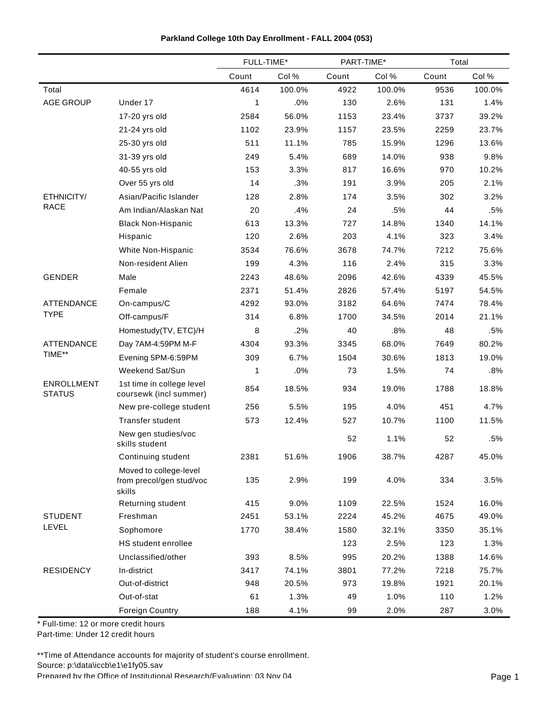|                                    |                                                              | FULL-TIME* |        | PART-TIME* |        | Total |        |
|------------------------------------|--------------------------------------------------------------|------------|--------|------------|--------|-------|--------|
|                                    |                                                              | Count      | Col %  | Count      | Col %  | Count | Col %  |
| Total                              |                                                              | 4614       | 100.0% | 4922       | 100.0% | 9536  | 100.0% |
| <b>AGE GROUP</b>                   | Under 17                                                     | 1          | .0%    | 130        | 2.6%   | 131   | 1.4%   |
|                                    | 17-20 yrs old                                                | 2584       | 56.0%  | 1153       | 23.4%  | 3737  | 39.2%  |
|                                    | 21-24 yrs old                                                | 1102       | 23.9%  | 1157       | 23.5%  | 2259  | 23.7%  |
|                                    | 25-30 yrs old                                                | 511        | 11.1%  | 785        | 15.9%  | 1296  | 13.6%  |
|                                    | 31-39 yrs old                                                | 249        | 5.4%   | 689        | 14.0%  | 938   | 9.8%   |
|                                    | 40-55 yrs old                                                | 153        | 3.3%   | 817        | 16.6%  | 970   | 10.2%  |
|                                    | Over 55 yrs old                                              | 14         | .3%    | 191        | 3.9%   | 205   | 2.1%   |
| ETHNICITY/                         | Asian/Pacific Islander                                       | 128        | 2.8%   | 174        | 3.5%   | 302   | 3.2%   |
| <b>RACE</b>                        | Am Indian/Alaskan Nat                                        | 20         | .4%    | 24         | .5%    | 44    | .5%    |
|                                    | <b>Black Non-Hispanic</b>                                    | 613        | 13.3%  | 727        | 14.8%  | 1340  | 14.1%  |
|                                    | Hispanic                                                     | 120        | 2.6%   | 203        | 4.1%   | 323   | 3.4%   |
|                                    | White Non-Hispanic                                           | 3534       | 76.6%  | 3678       | 74.7%  | 7212  | 75.6%  |
|                                    | Non-resident Alien                                           | 199        | 4.3%   | 116        | 2.4%   | 315   | 3.3%   |
| <b>GENDER</b>                      | Male                                                         | 2243       | 48.6%  | 2096       | 42.6%  | 4339  | 45.5%  |
|                                    | Female                                                       | 2371       | 51.4%  | 2826       | 57.4%  | 5197  | 54.5%  |
| <b>ATTENDANCE</b>                  | On-campus/C                                                  | 4292       | 93.0%  | 3182       | 64.6%  | 7474  | 78.4%  |
| <b>TYPE</b>                        | Off-campus/F                                                 | 314        | 6.8%   | 1700       | 34.5%  | 2014  | 21.1%  |
|                                    | Homestudy(TV, ETC)/H                                         | 8          | .2%    | 40         | .8%    | 48    | .5%    |
| <b>ATTENDANCE</b>                  | Day 7AM-4:59PM M-F                                           | 4304       | 93.3%  | 3345       | 68.0%  | 7649  | 80.2%  |
| TIME**                             | Evening 5PM-6:59PM                                           | 309        | 6.7%   | 1504       | 30.6%  | 1813  | 19.0%  |
|                                    | Weekend Sat/Sun                                              | 1          | .0%    | 73         | 1.5%   | 74    | .8%    |
| <b>ENROLLMENT</b><br><b>STATUS</b> | 1st time in college level<br>coursewk (incl summer)          | 854        | 18.5%  | 934        | 19.0%  | 1788  | 18.8%  |
|                                    | New pre-college student                                      | 256        | 5.5%   | 195        | 4.0%   | 451   | 4.7%   |
|                                    | Transfer student                                             | 573        | 12.4%  | 527        | 10.7%  | 1100  | 11.5%  |
|                                    | New gen studies/voc<br>skills student                        |            |        | 52         | 1.1%   | 52    | .5%    |
|                                    | Continuing student                                           | 2381       | 51.6%  | 1906       | 38.7%  | 4287  | 45.0%  |
|                                    | Moved to college-level<br>from precol/gen stud/voc<br>skills | 135        | 2.9%   | 199        | 4.0%   | 334   | 3.5%   |
|                                    | Returning student                                            | 415        | 9.0%   | 1109       | 22.5%  | 1524  | 16.0%  |
| <b>STUDENT</b>                     | Freshman                                                     | 2451       | 53.1%  | 2224       | 45.2%  | 4675  | 49.0%  |
| LEVEL                              | Sophomore                                                    | 1770       | 38.4%  | 1580       | 32.1%  | 3350  | 35.1%  |
|                                    | HS student enrollee                                          |            |        | 123        | 2.5%   | 123   | 1.3%   |
|                                    | Unclassified/other                                           | 393        | 8.5%   | 995        | 20.2%  | 1388  | 14.6%  |
| <b>RESIDENCY</b>                   | In-district                                                  | 3417       | 74.1%  | 3801       | 77.2%  | 7218  | 75.7%  |
|                                    | Out-of-district                                              | 948        | 20.5%  | 973        | 19.8%  | 1921  | 20.1%  |
|                                    | Out-of-stat                                                  | 61         | 1.3%   | 49         | 1.0%   | 110   | 1.2%   |
|                                    | <b>Foreign Country</b>                                       | 188        | 4.1%   | 99         | 2.0%   | 287   | 3.0%   |

\* Full-time: 12 or more credit hours

Part-time: Under 12 credit hours

\*\*Time of Attendance accounts for majority of student's course enrollment. Source: p:\data\iccb\e1\e1fy05.sav Prepared by the Office of Institutional Research/Fvaluation: 03 Nov 04 Page 1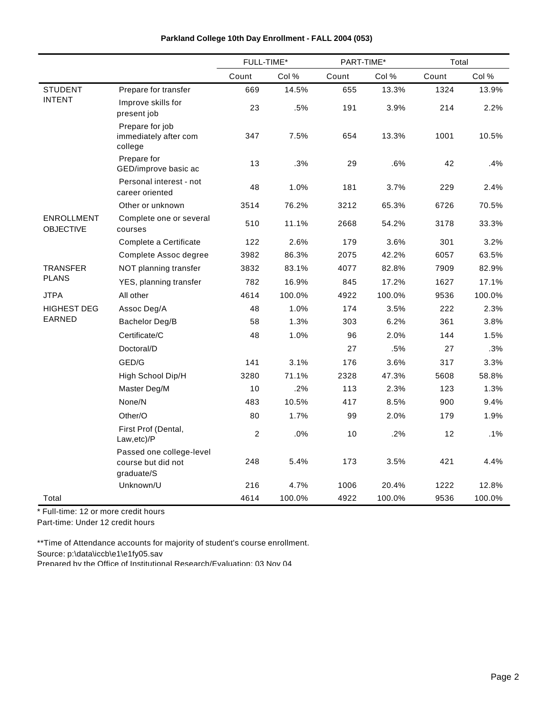|                                |                                                              | FULL-TIME*     |        | PART-TIME* |        | Total |        |
|--------------------------------|--------------------------------------------------------------|----------------|--------|------------|--------|-------|--------|
|                                |                                                              | Count          | Col %  | Count      | Col %  | Count | Col %  |
| <b>STUDENT</b>                 | Prepare for transfer                                         | 669            | 14.5%  | 655        | 13.3%  | 1324  | 13.9%  |
| <b>INTENT</b>                  | Improve skills for<br>present job                            | 23             | .5%    | 191        | 3.9%   | 214   | 2.2%   |
|                                | Prepare for job<br>immediately after com<br>college          | 347            | 7.5%   | 654        | 13.3%  | 1001  | 10.5%  |
|                                | Prepare for<br>GED/improve basic ac                          | 13             | .3%    | 29         | .6%    | 42    | .4%    |
|                                | Personal interest - not<br>career oriented                   | 48             | 1.0%   | 181        | 3.7%   | 229   | 2.4%   |
|                                | Other or unknown                                             | 3514           | 76.2%  | 3212       | 65.3%  | 6726  | 70.5%  |
| ENROLLMENT<br><b>OBJECTIVE</b> | Complete one or several<br>courses                           | 510            | 11.1%  | 2668       | 54.2%  | 3178  | 33.3%  |
|                                | Complete a Certificate                                       | 122            | 2.6%   | 179        | 3.6%   | 301   | 3.2%   |
|                                | Complete Assoc degree                                        | 3982           | 86.3%  | 2075       | 42.2%  | 6057  | 63.5%  |
| <b>TRANSFER</b>                | NOT planning transfer                                        | 3832           | 83.1%  | 4077       | 82.8%  | 7909  | 82.9%  |
| <b>PLANS</b>                   | YES, planning transfer                                       | 782            | 16.9%  | 845        | 17.2%  | 1627  | 17.1%  |
| <b>JTPA</b>                    | All other                                                    | 4614           | 100.0% | 4922       | 100.0% | 9536  | 100.0% |
| <b>HIGHEST DEG</b>             | Assoc Deg/A                                                  | 48             | 1.0%   | 174        | 3.5%   | 222   | 2.3%   |
| EARNED                         | Bachelor Deg/B                                               | 58             | 1.3%   | 303        | 6.2%   | 361   | 3.8%   |
|                                | Certificate/C                                                | 48             | 1.0%   | 96         | 2.0%   | 144   | 1.5%   |
|                                | Doctoral/D                                                   |                |        | 27         | .5%    | 27    | .3%    |
|                                | GED/G                                                        | 141            | 3.1%   | 176        | 3.6%   | 317   | 3.3%   |
|                                | High School Dip/H                                            | 3280           | 71.1%  | 2328       | 47.3%  | 5608  | 58.8%  |
|                                | Master Deg/M                                                 | 10             | .2%    | 113        | 2.3%   | 123   | 1.3%   |
|                                | None/N                                                       | 483            | 10.5%  | 417        | 8.5%   | 900   | 9.4%   |
|                                | Other/O                                                      | 80             | 1.7%   | 99         | 2.0%   | 179   | 1.9%   |
|                                | First Prof (Dental,<br>Law,etc)/P                            | $\overline{2}$ | .0%    | 10         | .2%    | 12    | .1%    |
|                                | Passed one college-level<br>course but did not<br>graduate/S | 248            | 5.4%   | 173        | 3.5%   | 421   | 4.4%   |
|                                | Unknown/U                                                    | 216            | 4.7%   | 1006       | 20.4%  | 1222  | 12.8%  |
| Total                          |                                                              | 4614           | 100.0% | 4922       | 100.0% | 9536  | 100.0% |

\* Full-time: 12 or more credit hours

Part-time: Under 12 credit hours

\*\*Time of Attendance accounts for majority of student's course enrollment.

Source: p:\data\iccb\e1\e1fy05.sav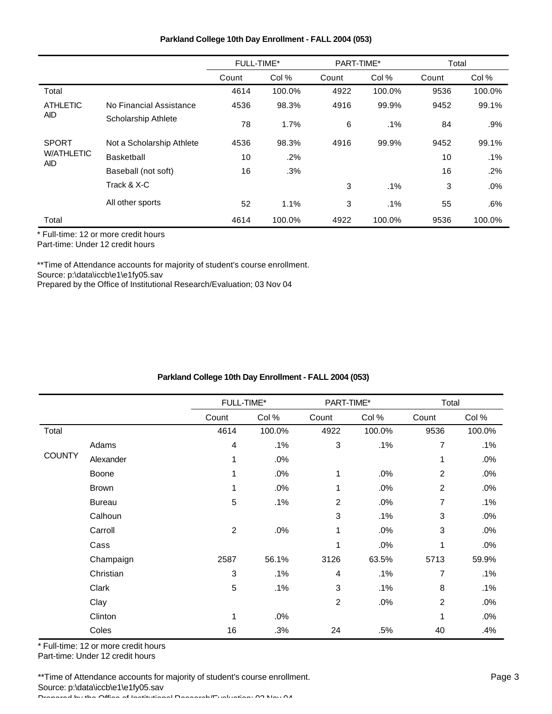| Parkland College 10th Day Enrollment - FALL 2004 (053) |  |  |  |  |  |
|--------------------------------------------------------|--|--|--|--|--|
|--------------------------------------------------------|--|--|--|--|--|

|                                 |                           | <b>FULL-TIME*</b> |        | PART-TIME* |        | Total |        |
|---------------------------------|---------------------------|-------------------|--------|------------|--------|-------|--------|
|                                 |                           | Count             | Col %  | Count      | Col %  | Count | Col %  |
| Total                           |                           | 4614              | 100.0% | 4922       | 100.0% | 9536  | 100.0% |
| <b>ATHLETIC</b>                 | No Financial Assistance   | 4536              | 98.3%  | 4916       | 99.9%  | 9452  | 99.1%  |
| AID.                            | Scholarship Athlete       | 78                | 1.7%   | 6          | .1%    | 84    | $.9\%$ |
| <b>SPORT</b>                    | Not a Scholarship Athlete | 4536              | 98.3%  | 4916       | 99.9%  | 9452  | 99.1%  |
| <b>W/ATHLETIC</b><br><b>AID</b> | Basketball                | 10                | .2%    |            |        | 10    | $.1\%$ |
|                                 | Baseball (not soft)       | 16                | .3%    |            |        | 16    | .2%    |
|                                 | Track & X-C               |                   |        | 3          | $.1\%$ | 3     | .0%    |
|                                 | All other sports          | 52                | 1.1%   | 3          | $.1\%$ | 55    | .6%    |
| Total                           |                           | 4614              | 100.0% | 4922       | 100.0% | 9536  | 100.0% |

Part-time: Under 12 credit hours

\*\*Time of Attendance accounts for majority of student's course enrollment. Source: p:\data\iccb\e1\e1fy05.sav

Prepared by the Office of Institutional Research/Evaluation; 03 Nov 04

|  | Parkland College 10th Day Enrollment - FALL 2004 (053) |  |
|--|--------------------------------------------------------|--|
|  |                                                        |  |

|               |               | FULL-TIME*              |        | PART-TIME*     |        | Total          |        |
|---------------|---------------|-------------------------|--------|----------------|--------|----------------|--------|
|               |               | Count                   | Col %  | Count          | Col %  | Count          | Col %  |
| Total         |               | 4614                    | 100.0% | 4922           | 100.0% | 9536           | 100.0% |
|               | Adams         | $\overline{\mathbf{4}}$ | .1%    | 3              | .1%    | 7              | .1%    |
| <b>COUNTY</b> | Alexander     | 1                       | .0%    |                |        | 1              | .0%    |
|               | Boone         |                         | .0%    | 1              | .0%    | $\overline{2}$ | .0%    |
|               | <b>Brown</b>  | 1                       | .0%    | 1              | .0%    | $\overline{2}$ | .0%    |
|               | <b>Bureau</b> | 5                       | .1%    | $\overline{c}$ | .0%    | 7              | .1%    |
|               | Calhoun       |                         |        | 3              | .1%    | 3              | .0%    |
|               | Carroll       | $\overline{2}$          | .0%    | 1              | .0%    | 3              | .0%    |
|               | Cass          |                         |        | 1              | .0%    | 1              | .0%    |
|               | Champaign     | 2587                    | 56.1%  | 3126           | 63.5%  | 5713           | 59.9%  |
|               | Christian     | 3                       | .1%    | 4              | .1%    | 7              | .1%    |
|               | Clark         | $\sqrt{5}$              | .1%    | 3              | .1%    | 8              | .1%    |
|               | Clay          |                         |        | $\overline{2}$ | .0%    | $\overline{2}$ | .0%    |
|               | Clinton       | 1                       | .0%    |                |        | 1              | .0%    |
|               | Coles         | 16                      | .3%    | 24             | .5%    | 40             | .4%    |

\* Full-time: 12 or more credit hours

Part-time: Under 12 credit hours

\*\*Time of Attendance accounts for majority of student's course enrollment. Source: p:\data\iccb\e1\e1fy05.sav Prepared by the Office of Institutional Research/Evaluation; 03 Nov 04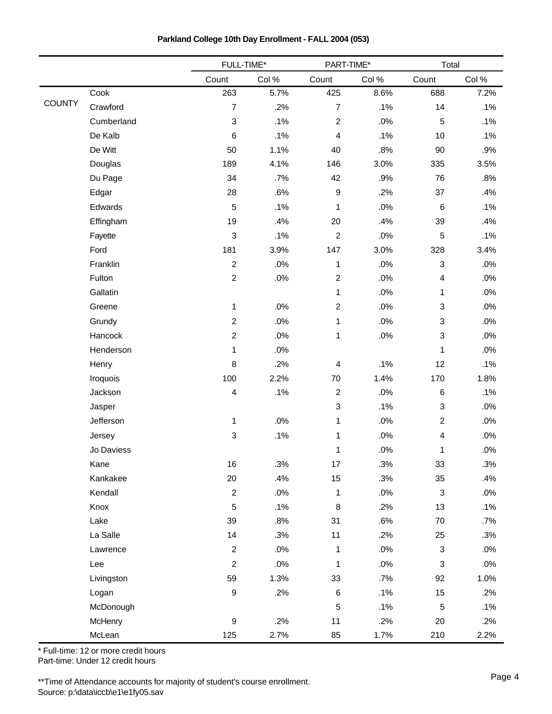|               |            | FULL-TIME*                |        | PART-TIME*              |        | Total                     |        |  |
|---------------|------------|---------------------------|--------|-------------------------|--------|---------------------------|--------|--|
|               |            | Count                     | Col %  | Count                   | Col %  | Count                     | Col %  |  |
|               | Cook       | 263                       | 5.7%   | 425                     | 8.6%   | 688                       | 7.2%   |  |
| <b>COUNTY</b> | Crawford   | $\overline{7}$            | .2%    | $\overline{7}$          | .1%    | 14                        | .1%    |  |
|               | Cumberland | $\ensuremath{\mathsf{3}}$ | .1%    | $\boldsymbol{2}$        | .0%    | 5                         | .1%    |  |
|               | De Kalb    | $\,6$                     | .1%    | 4                       | .1%    | 10                        | .1%    |  |
|               | De Witt    | 50                        | 1.1%   | 40                      | .8%    | 90                        | .9%    |  |
|               | Douglas    | 189                       | 4.1%   | 146                     | 3.0%   | 335                       | 3.5%   |  |
|               | Du Page    | 34                        | $.7\%$ | 42                      | .9%    | 76                        | .8%    |  |
|               | Edgar      | 28                        | .6%    | $\boldsymbol{9}$        | .2%    | 37                        | .4%    |  |
|               | Edwards    | $\sqrt{5}$                | .1%    | 1                       | .0%    | $\,6$                     | .1%    |  |
|               | Effingham  | 19                        | .4%    | 20                      | .4%    | 39                        | .4%    |  |
|               | Fayette    | 3                         | .1%    | $\boldsymbol{2}$        | .0%    | $\sqrt{5}$                | .1%    |  |
|               | Ford       | 181                       | 3.9%   | 147                     | 3.0%   | 328                       | 3.4%   |  |
|               | Franklin   | $\overline{2}$            | .0%    | $\mathbf{1}$            | .0%    | $\sqrt{3}$                | .0%    |  |
|               | Fulton     | $\overline{2}$            | $.0\%$ | $\boldsymbol{2}$        | .0%    | $\overline{4}$            | $.0\%$ |  |
|               | Gallatin   |                           |        | $\mathbf{1}$            | .0%    | 1                         | .0%    |  |
|               | Greene     | $\mathbf{1}$              | $.0\%$ | $\boldsymbol{2}$        | .0%    | $\ensuremath{\mathsf{3}}$ | .0%    |  |
|               | Grundy     | $\overline{2}$            | .0%    | $\mathbf{1}$            | .0%    | $\ensuremath{\mathsf{3}}$ | .0%    |  |
|               | Hancock    | $\overline{2}$            | .0%    | 1                       | .0%    | $\mathbf{3}$              | .0%    |  |
|               | Henderson  | 1                         | $.0\%$ |                         |        | 1                         | $.0\%$ |  |
|               | Henry      | 8                         | .2%    | $\overline{\mathbf{4}}$ | .1%    | 12                        | .1%    |  |
|               | Iroquois   | 100                       | 2.2%   | $70\,$                  | 1.4%   | 170                       | 1.8%   |  |
|               | Jackson    | 4                         | .1%    | $\overline{c}$          | .0%    | $\,6$                     | .1%    |  |
|               | Jasper     |                           |        | 3                       | .1%    | $\ensuremath{\mathsf{3}}$ | $.0\%$ |  |
|               | Jefferson  | 1                         | $.0\%$ | $\mathbf{1}$            | .0%    | $\boldsymbol{2}$          | .0%    |  |
|               | Jersey     | 3                         | .1%    | $\mathbf{1}$            | .0%    | $\overline{\mathbf{4}}$   | .0%    |  |
|               | Jo Daviess |                           |        | 1                       | .0%    | 1                         | .0%    |  |
|               | Kane       | 16                        | .3%    | 17                      | .3%    | 33                        | .3%    |  |
|               | Kankakee   | 20                        | .4%    | 15                      | .3%    | 35                        | .4%    |  |
|               | Kendall    | $\overline{2}$            | $.0\%$ | $\mathbf{1}$            | .0%    | $\ensuremath{\mathsf{3}}$ | $.0\%$ |  |
|               | Knox       | 5                         | .1%    | $\,8\,$                 | .2%    | 13                        | .1%    |  |
|               | Lake       | 39                        | .8%    | 31                      | .6%    | 70                        | .7%    |  |
|               | La Salle   | 14                        | .3%    | 11                      | .2%    | 25                        | .3%    |  |
|               | Lawrence   | $\overline{2}$            | .0%    | $\mathbf{1}$            | $.0\%$ | $\ensuremath{\mathsf{3}}$ | .0%    |  |
|               | Lee        | $\boldsymbol{2}$          | .0%    | $\mathbf{1}$            | .0%    | 3                         | .0%    |  |
|               | Livingston | 59                        | 1.3%   | 33                      | .7%    | 92                        | 1.0%   |  |
|               | Logan      | $\boldsymbol{9}$          | .2%    | $\,6\,$                 | .1%    | 15                        | .2%    |  |
|               | McDonough  |                           |        | $\mathbf 5$             | .1%    | $\mathbf 5$               | .1%    |  |
|               | McHenry    | $\boldsymbol{9}$          | .2%    | 11                      | .2%    | 20                        | .2%    |  |
|               | McLean     | 125                       | 2.7%   | 85                      | 1.7%   | 210                       | 2.2%   |  |

**Parkland College 10th Day Enrollment - FALL 2004 (053)**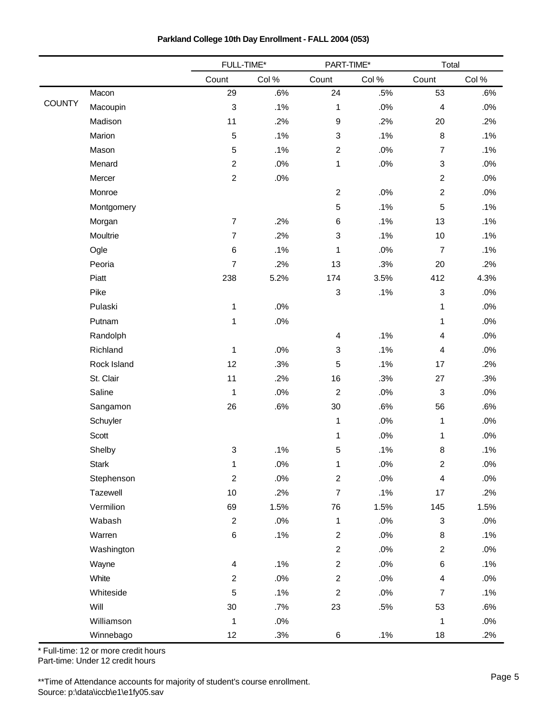|               |             | FULL-TIME*              |        | PART-TIME*                |      | Total                     |        |
|---------------|-------------|-------------------------|--------|---------------------------|------|---------------------------|--------|
|               |             | Count                   | Col%   | Count                     | Col% | Count                     | Col %  |
|               | Macon       | 29                      | .6%    | 24                        | .5%  | 53                        | .6%    |
| <b>COUNTY</b> | Macoupin    | $\mathsf 3$             | .1%    | $\mathbf 1$               | .0%  | $\overline{\mathbf{4}}$   | .0%    |
|               | Madison     | 11                      | .2%    | $\boldsymbol{9}$          | .2%  | 20                        | .2%    |
|               | Marion      | 5                       | .1%    | $\ensuremath{\mathsf{3}}$ | .1%  | $\bf 8$                   | .1%    |
|               | Mason       | 5                       | .1%    | $\overline{c}$            | .0%  | $\overline{7}$            | .1%    |
|               | Menard      | $\overline{2}$          | .0%    | $\mathbf{1}$              | .0%  | $\ensuremath{\mathsf{3}}$ | .0%    |
|               | Mercer      | $\overline{c}$          | $.0\%$ |                           |      | $\sqrt{2}$                | .0%    |
|               | Monroe      |                         |        | $\overline{2}$            | .0%  | $\sqrt{2}$                | .0%    |
|               | Montgomery  |                         |        | 5                         | .1%  | 5                         | .1%    |
|               | Morgan      | $\overline{7}$          | .2%    | $\,6\,$                   | .1%  | 13                        | .1%    |
|               | Moultrie    | $\overline{7}$          | .2%    | $\ensuremath{\mathsf{3}}$ | .1%  | 10                        | .1%    |
|               | Ogle        | $\,6$                   | .1%    | 1                         | .0%  | $\overline{7}$            | .1%    |
|               | Peoria      | $\overline{7}$          | .2%    | 13                        | .3%  | 20                        | .2%    |
|               | Piatt       | 238                     | 5.2%   | 174                       | 3.5% | 412                       | 4.3%   |
|               | Pike        |                         |        | $\ensuremath{\mathsf{3}}$ | .1%  | $\sqrt{3}$                | .0%    |
|               | Pulaski     | $\mathbf{1}$            | $.0\%$ |                           |      | $\mathbf{1}$              | .0%    |
|               | Putnam      | 1                       | $.0\%$ |                           |      | 1                         | $.0\%$ |
|               | Randolph    |                         |        | $\overline{\mathbf{4}}$   | .1%  | 4                         | .0%    |
|               | Richland    | $\mathbf{1}$            | $.0\%$ | $\ensuremath{\mathsf{3}}$ | .1%  | $\overline{\mathbf{4}}$   | .0%    |
|               | Rock Island | 12                      | .3%    | 5                         | .1%  | 17                        | .2%    |
|               | St. Clair   | 11                      | .2%    | 16                        | .3%  | 27                        | .3%    |
|               | Saline      | 1                       | .0%    | $\boldsymbol{2}$          | .0%  | $\ensuremath{\mathsf{3}}$ | .0%    |
|               | Sangamon    | 26                      | .6%    | 30                        | .6%  | 56                        | .6%    |
|               | Schuyler    |                         |        | 1                         | .0%  | $\mathbf 1$               | .0%    |
|               | Scott       |                         |        | 1                         | .0%  | 1                         | $.0\%$ |
|               | Shelby      | 3                       | .1%    | 5                         | .1%  | 8                         | .1%    |
|               | Stark       | 1                       | .0%    | 1                         | .0%  | $\overline{\mathbf{c}}$   | $.0\%$ |
|               | Stephenson  | $\overline{\mathbf{c}}$ | .0%    | $\boldsymbol{2}$          | .0%  | $\overline{\mathbf{4}}$   | $.0\%$ |
|               | Tazewell    | $10$                    | .2%    | $\boldsymbol{7}$          | .1%  | 17                        | .2%    |
|               | Vermilion   | 69                      | 1.5%   | 76                        | 1.5% | 145                       | 1.5%   |
|               | Wabash      | $\overline{2}$          | .0%    | $\mathbf{1}$              | .0%  | $\ensuremath{\mathsf{3}}$ | .0%    |
|               | Warren      | 6                       | .1%    | $\overline{c}$            | .0%  | 8                         | .1%    |
|               | Washington  |                         |        | $\overline{2}$            | .0%  | $\overline{2}$            | .0%    |
|               | Wayne       | 4                       | .1%    | $\overline{c}$            | .0%  | $\,6$                     | .1%    |
|               | White       | $\overline{c}$          | $.0\%$ | $\overline{c}$            | .0%  | $\overline{\mathbf{4}}$   | .0%    |
|               | Whiteside   | 5                       | .1%    | $\overline{2}$            | .0%  | $\overline{7}$            | .1%    |
|               | Will        | 30                      | .7%    | 23                        | .5%  | 53                        | .6%    |
|               | Williamson  | 1                       | $.0\%$ |                           |      | $\mathbf{1}$              | .0%    |
|               | Winnebago   | 12                      | .3%    | 6                         | .1%  | 18                        | .2%    |

**Parkland College 10th Day Enrollment - FALL 2004 (053)**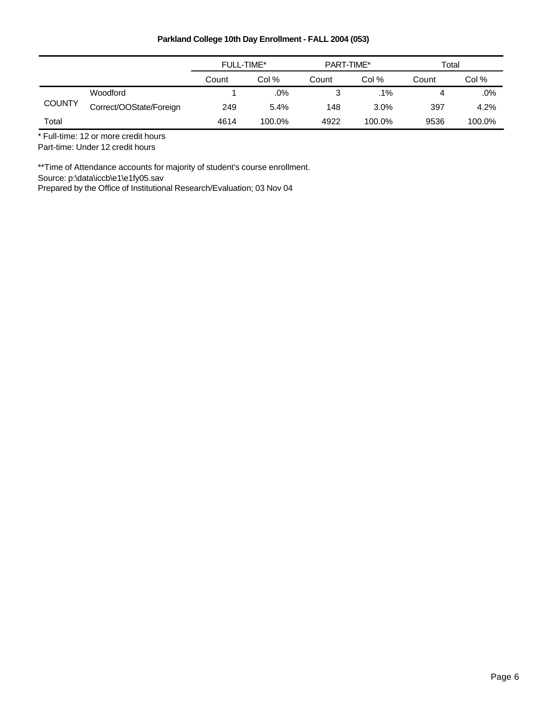|               |                         | FULL-TIME* |        | PART-TIME* |        | Total |        |
|---------------|-------------------------|------------|--------|------------|--------|-------|--------|
|               |                         | Count      | Col %  | Count      | Col %  | Count | Col %  |
|               | Woodford                |            | .0%    |            | $.1\%$ | 4     | $.0\%$ |
| <b>COUNTY</b> | Correct/OOState/Foreign | 249        | 5.4%   | 148        | 3.0%   | 397   | 4.2%   |
| Total         |                         | 4614       | 100.0% | 4922       | 100.0% | 9536  | 100.0% |

\* Full-time: 12 or more credit hours

Part-time: Under 12 credit hours

\*\*Time of Attendance accounts for majority of student's course enrollment.

Source: p:\data\iccb\e1\e1fy05.sav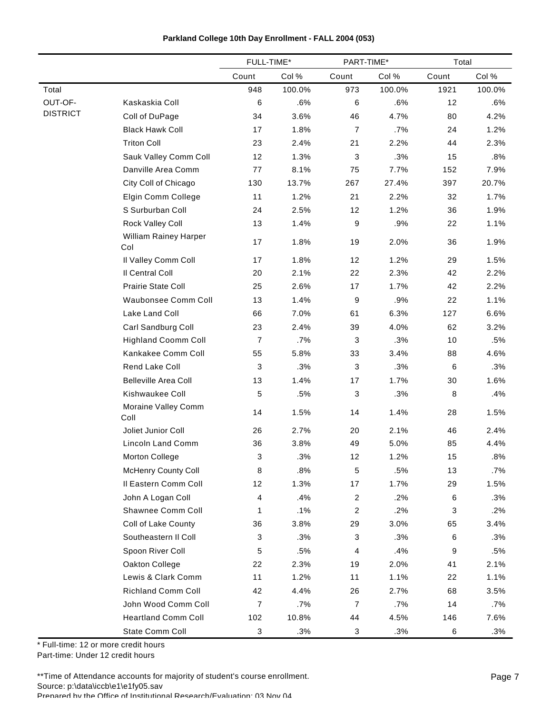|  |  |  | Parkland College 10th Day Enrollment - FALL 2004 (053) |  |  |  |
|--|--|--|--------------------------------------------------------|--|--|--|
|--|--|--|--------------------------------------------------------|--|--|--|

|                 |                              | FULL-TIME*                |        | PART-TIME*       |        | Total |        |
|-----------------|------------------------------|---------------------------|--------|------------------|--------|-------|--------|
|                 |                              | Count                     | Col %  | Count            | Col %  | Count | Col %  |
| Total           |                              | 948                       | 100.0% | 973              | 100.0% | 1921  | 100.0% |
| OUT-OF-         | Kaskaskia Coll               | 6                         | .6%    | 6                | .6%    | 12    | .6%    |
| <b>DISTRICT</b> | Coll of DuPage               | 34                        | 3.6%   | 46               | 4.7%   | 80    | 4.2%   |
|                 | <b>Black Hawk Coll</b>       | 17                        | 1.8%   | $\overline{7}$   | .7%    | 24    | 1.2%   |
|                 | <b>Triton Coll</b>           | 23                        | 2.4%   | 21               | 2.2%   | 44    | 2.3%   |
|                 | Sauk Valley Comm Coll        | 12                        | 1.3%   | 3                | .3%    | 15    | .8%    |
|                 | Danville Area Comm           | 77                        | 8.1%   | 75               | 7.7%   | 152   | 7.9%   |
|                 | City Coll of Chicago         | 130                       | 13.7%  | 267              | 27.4%  | 397   | 20.7%  |
|                 | Elgin Comm College           | 11                        | 1.2%   | 21               | 2.2%   | 32    | 1.7%   |
|                 | S Surburban Coll             | 24                        | 2.5%   | 12               | 1.2%   | 36    | 1.9%   |
|                 | Rock Valley Coll             | 13                        | 1.4%   | 9                | .9%    | 22    | 1.1%   |
|                 | William Rainey Harper<br>Col | 17                        | 1.8%   | 19               | 2.0%   | 36    | 1.9%   |
|                 | Il Valley Comm Coll          | 17                        | 1.8%   | 12               | 1.2%   | 29    | 1.5%   |
|                 | Il Central Coll              | 20                        | 2.1%   | 22               | 2.3%   | 42    | 2.2%   |
|                 | Prairie State Coll           | 25                        | 2.6%   | 17               | 1.7%   | 42    | 2.2%   |
|                 | Waubonsee Comm Coll          | 13                        | 1.4%   | 9                | .9%    | 22    | 1.1%   |
|                 | Lake Land Coll               | 66                        | 7.0%   | 61               | 6.3%   | 127   | 6.6%   |
|                 | Carl Sandburg Coll           | 23                        | 2.4%   | 39               | 4.0%   | 62    | 3.2%   |
|                 | <b>Highland Coomm Coll</b>   | $\overline{7}$            | .7%    | 3                | .3%    | 10    | .5%    |
|                 | Kankakee Comm Coll           | 55                        | 5.8%   | 33               | 3.4%   | 88    | 4.6%   |
|                 | Rend Lake Coll               | 3                         | .3%    | 3                | .3%    | 6     | .3%    |
|                 | <b>Belleville Area Coll</b>  | 13                        | 1.4%   | 17               | 1.7%   | 30    | 1.6%   |
|                 | Kishwaukee Coll              | 5                         | .5%    | 3                | .3%    | 8     | .4%    |
|                 | Moraine Valley Comm<br>Coll  | 14                        | 1.5%   | 14               | 1.4%   | 28    | 1.5%   |
|                 | Joliet Junior Coll           | 26                        | 2.7%   | 20               | 2.1%   | 46    | 2.4%   |
|                 | Lincoln Land Comm            | 36                        | 3.8%   | 49               | 5.0%   | 85    | 4.4%   |
|                 | <b>Morton College</b>        | 3                         | .3%    | 12               | 1.2%   | 15    | .8%    |
|                 | <b>McHenry County Coll</b>   | 8                         | .8%    | $\,$ 5 $\,$      | .5%    | 13    | $.7\%$ |
|                 | Il Eastern Comm Coll         | 12                        | 1.3%   | 17               | 1.7%   | 29    | 1.5%   |
|                 | John A Logan Coll            | 4                         | .4%    | $\boldsymbol{2}$ | .2%    | 6     | .3%    |
|                 | Shawnee Comm Coll            | 1                         | .1%    | $\overline{c}$   | .2%    | 3     | .2%    |
|                 | Coll of Lake County          | 36                        | 3.8%   | 29               | 3.0%   | 65    | 3.4%   |
|                 | Southeastern II Coll         | 3                         | .3%    | 3                | .3%    | 6     | .3%    |
|                 | Spoon River Coll             | 5                         | .5%    | 4                | .4%    | 9     | .5%    |
|                 | Oakton College               | 22                        | 2.3%   | 19               | 2.0%   | 41    | 2.1%   |
|                 | Lewis & Clark Comm           | 11                        | 1.2%   | 11               | 1.1%   | 22    | 1.1%   |
|                 | <b>Richland Comm Coll</b>    | 42                        | 4.4%   | 26               | 2.7%   | 68    | 3.5%   |
|                 | John Wood Comm Coll          | 7                         | .7%    | $\boldsymbol{7}$ | .7%    | 14    | .7%    |
|                 | <b>Heartland Comm Coll</b>   | 102                       | 10.8%  | 44               | 4.5%   | 146   | 7.6%   |
|                 | State Comm Coll              | $\ensuremath{\mathsf{3}}$ | .3%    | $\sqrt{3}$       | .3%    | 6     | .3%    |

Part-time: Under 12 credit hours

\*\*Time of Attendance accounts for majority of student's course enrollment. Source: p:\data\iccb\e1\e1fy05.sav Prepared by the Office of Institutional Research/Evaluation: 03 Nov 04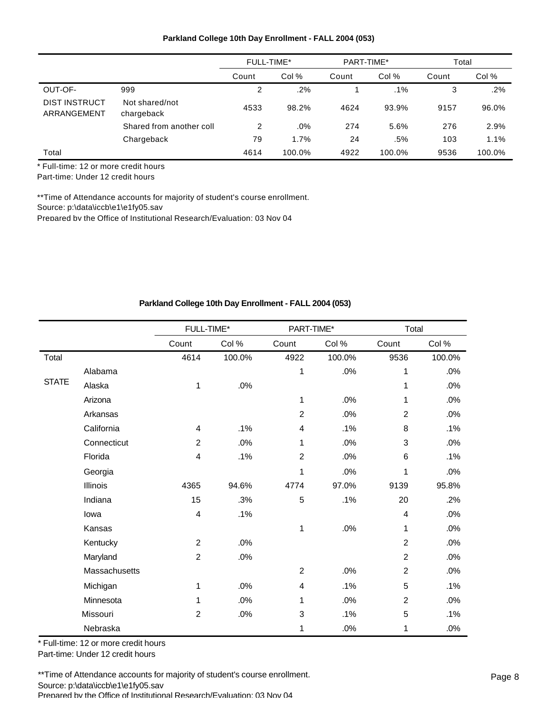|                                     |                              | FULL-TIME* |        | PART-TIME* |        | Total |        |
|-------------------------------------|------------------------------|------------|--------|------------|--------|-------|--------|
|                                     |                              | Count      | Col %  | Count      | Col %  | Count | Col %  |
| OUT-OF-                             | 999                          | 2          | .2%    |            | $.1\%$ | 3     | .2%    |
| <b>DIST INSTRUCT</b><br>ARRANGEMENT | Not shared/not<br>chargeback | 4533       | 98.2%  | 4624       | 93.9%  | 9157  | 96.0%  |
|                                     | Shared from another coll     | 2          | .0%    | 274        | 5.6%   | 276   | 2.9%   |
|                                     | Chargeback                   | 79         | 1.7%   | 24         | .5%    | 103   | 1.1%   |
| Total                               |                              | 4614       | 100.0% | 4922       | 100.0% | 9536  | 100.0% |

\* Full-time: 12 or more credit hours

Part-time: Under 12 credit hours

\*\*Time of Attendance accounts for majority of student's course enrollment.

Source: p:\data\iccb\e1\e1fy05.sav

Prepared by the Office of Institutional Research/Evaluation; 03 Nov 04

# **Parkland College 10th Day Enrollment - FALL 2004 (053)**

|              |               | FULL-TIME*     |        | PART-TIME*     |        | Total          |        |
|--------------|---------------|----------------|--------|----------------|--------|----------------|--------|
|              |               | Count          | Col%   | Count          | Col%   | Count          | Col %  |
| Total        |               | 4614           | 100.0% | 4922           | 100.0% | 9536           | 100.0% |
|              | Alabama       |                |        | 1              | .0%    | 1              | .0%    |
| <b>STATE</b> | Alaska        | 1              | .0%    |                |        | 1              | .0%    |
|              | Arizona       |                |        | 1              | .0%    | 1              | .0%    |
|              | Arkansas      |                |        | $\overline{2}$ | .0%    | $\overline{2}$ | .0%    |
|              | California    | $\overline{4}$ | .1%    | 4              | .1%    | 8              | .1%    |
|              | Connecticut   | $\overline{c}$ | .0%    | 1              | .0%    | 3              | .0%    |
|              | Florida       | 4              | .1%    | $\overline{2}$ | .0%    | 6              | .1%    |
|              | Georgia       |                |        | 1              | .0%    | 1              | .0%    |
|              | Illinois      | 4365           | 94.6%  | 4774           | 97.0%  | 9139           | 95.8%  |
|              | Indiana       | 15             | .3%    | 5              | .1%    | 20             | .2%    |
|              | lowa          | 4              | .1%    |                |        | 4              | .0%    |
|              | Kansas        |                |        | 1              | .0%    | 1              | .0%    |
|              | Kentucky      | $\overline{2}$ | .0%    |                |        | $\overline{2}$ | .0%    |
|              | Maryland      | $\overline{c}$ | .0%    |                |        | $\overline{c}$ | .0%    |
|              | Massachusetts |                |        | $\overline{2}$ | .0%    | $\overline{2}$ | .0%    |
|              | Michigan      | 1              | .0%    | 4              | .1%    | 5              | .1%    |
|              | Minnesota     | 1              | .0%    | 1              | .0%    | $\overline{c}$ | .0%    |
|              | Missouri      | $\overline{c}$ | .0%    | 3              | .1%    | 5              | .1%    |
|              | Nebraska      |                |        | 1              | .0%    | 1              | .0%    |

\* Full-time: 12 or more credit hours

Part-time: Under 12 credit hours

\*\*Time of Attendance accounts for majority of student's course enrollment. Source: p:\data\iccb\e1\e1fy05.sav Prepared by the Office of Institutional Research/Evaluation; 03 Nov 04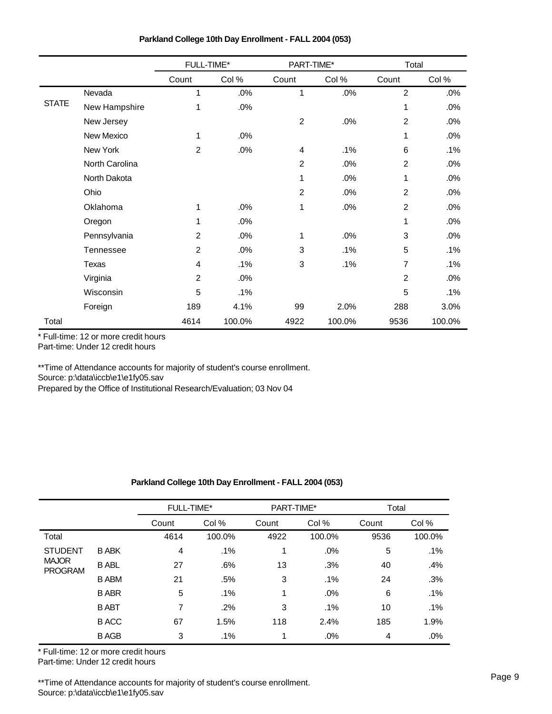|              |                | FULL-TIME*     |        | PART-TIME*       |        |                | Total  |  |
|--------------|----------------|----------------|--------|------------------|--------|----------------|--------|--|
|              |                | Count          | Col %  | Count            | Col %  | Count          | Col %  |  |
|              | Nevada         | 1              | .0%    | 1                | .0%    | $\overline{2}$ | .0%    |  |
| <b>STATE</b> | New Hampshire  | 1              | .0%    |                  |        | 1              | .0%    |  |
|              | New Jersey     |                |        | $\boldsymbol{2}$ | .0%    | $\overline{c}$ | .0%    |  |
|              | New Mexico     | 1              | .0%    |                  |        | 1              | .0%    |  |
|              | New York       | $\overline{c}$ | .0%    | 4                | .1%    | 6              | .1%    |  |
|              | North Carolina |                |        | $\overline{c}$   | .0%    | $\overline{c}$ | .0%    |  |
|              | North Dakota   |                |        | 1                | .0%    | 1              | .0%    |  |
|              | Ohio           |                |        | $\overline{2}$   | .0%    | $\overline{2}$ | .0%    |  |
|              | Oklahoma       | 1              | .0%    | 1                | .0%    | $\overline{2}$ | .0%    |  |
|              | Oregon         | 1              | .0%    |                  |        | 1              | .0%    |  |
|              | Pennsylvania   | $\overline{2}$ | .0%    | 1                | .0%    | 3              | .0%    |  |
|              | Tennessee      | $\overline{2}$ | .0%    | 3                | .1%    | 5              | $.1\%$ |  |
|              | Texas          | 4              | .1%    | 3                | .1%    | 7              | .1%    |  |
|              | Virginia       | $\overline{2}$ | .0%    |                  |        | $\overline{2}$ | .0%    |  |
|              | Wisconsin      | 5              | .1%    |                  |        | 5              | .1%    |  |
|              | Foreign        | 189            | 4.1%   | 99               | 2.0%   | 288            | 3.0%   |  |
| Total        |                | 4614           | 100.0% | 4922             | 100.0% | 9536           | 100.0% |  |

\* Full-time: 12 or more credit hours

Part-time: Under 12 credit hours

\*\*Time of Attendance accounts for majority of student's course enrollment. Source: p:\data\iccb\e1\e1fy05.sav

Prepared by the Office of Institutional Research/Evaluation; 03 Nov 04

# **Parkland College 10th Day Enrollment - FALL 2004 (053)**

|                                |              | <b>FULL-TIME*</b> |        | PART-TIME* |        | Total |        |
|--------------------------------|--------------|-------------------|--------|------------|--------|-------|--------|
|                                |              | Count             | Col %  | Count      | Col %  | Count | Col %  |
| Total                          |              | 4614              | 100.0% | 4922       | 100.0% | 9536  | 100.0% |
| <b>STUDENT</b>                 | <b>B ABK</b> | 4                 | .1%    | 1          | .0%    | 5     | .1%    |
| <b>MAJOR</b><br><b>PROGRAM</b> | <b>B ABL</b> | 27                | .6%    | 13         | .3%    | 40    | .4%    |
|                                | <b>B ABM</b> | 21                | .5%    | 3          | .1%    | 24    | .3%    |
|                                | <b>BABR</b>  | 5                 | $.1\%$ | 1          | .0%    | 6     | .1%    |
|                                | <b>B ABT</b> | 7                 | .2%    | 3          | .1%    | 10    | .1%    |
|                                | <b>B</b> ACC | 67                | 1.5%   | 118        | 2.4%   | 185   | 1.9%   |
|                                | <b>BAGB</b>  | 3                 | $.1\%$ | 1          | .0%    | 4     | .0%    |

\* Full-time: 12 or more credit hours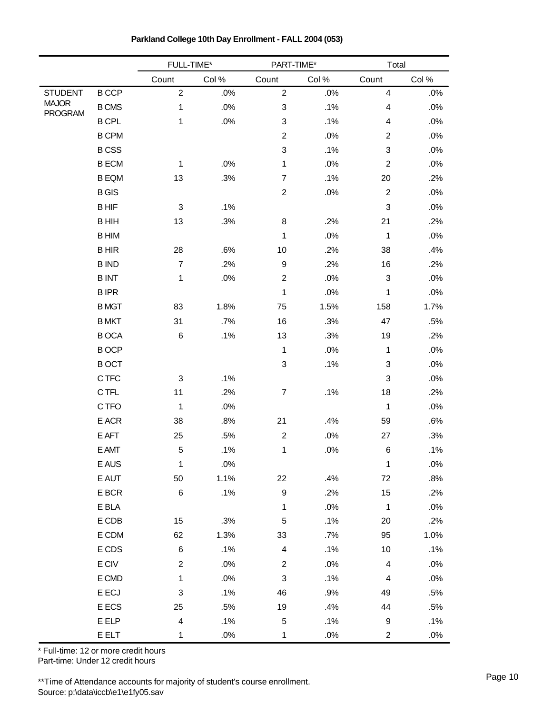|                                |              | FULL-TIME*                |        | PART-TIME*                |        | Total                     |        |
|--------------------------------|--------------|---------------------------|--------|---------------------------|--------|---------------------------|--------|
|                                |              | Count                     | Col %  | Count                     | Col%   | Count                     | Col%   |
| <b>STUDENT</b>                 | <b>BCCP</b>  | $\sqrt{2}$                | .0%    | $\overline{2}$            | .0%    | $\overline{\mathbf{4}}$   | .0%    |
| <b>MAJOR</b><br><b>PROGRAM</b> | <b>B CMS</b> | 1                         | $.0\%$ | 3                         | .1%    | $\overline{\mathbf{4}}$   | $.0\%$ |
|                                | <b>B CPL</b> | 1                         | .0%    | 3                         | .1%    | $\overline{\mathbf{4}}$   | .0%    |
|                                | <b>B CPM</b> |                           |        | $\overline{c}$            | .0%    | $\overline{2}$            | .0%    |
|                                | <b>BCSS</b>  |                           |        | 3                         | .1%    | $\ensuremath{\mathsf{3}}$ | .0%    |
|                                | <b>BECM</b>  | 1                         | .0%    | 1                         | .0%    | $\overline{c}$            | .0%    |
|                                | <b>B EQM</b> | 13                        | .3%    | $\overline{7}$            | .1%    | 20                        | .2%    |
|                                | <b>B</b> GIS |                           |        | $\boldsymbol{2}$          | $.0\%$ | $\boldsymbol{2}$          | .0%    |
|                                | <b>BHIF</b>  | $\ensuremath{\mathsf{3}}$ | .1%    |                           |        | $\mathbf{3}$              | .0%    |
|                                | <b>BHIH</b>  | 13                        | .3%    | 8                         | .2%    | 21                        | .2%    |
|                                | <b>BHIM</b>  |                           |        | 1                         | .0%    | 1                         | .0%    |
|                                | <b>BHIR</b>  | 28                        | .6%    | 10                        | .2%    | 38                        | .4%    |
|                                | <b>BIND</b>  | $\overline{7}$            | .2%    | $\boldsymbol{9}$          | .2%    | 16                        | .2%    |
|                                | <b>BINT</b>  | 1                         | .0%    | $\boldsymbol{2}$          | .0%    | $\mathfrak{B}$            | .0%    |
|                                | <b>BIPR</b>  |                           |        | $\mathbf 1$               | .0%    | 1                         | .0%    |
|                                | <b>BMGT</b>  | 83                        | 1.8%   | 75                        | 1.5%   | 158                       | 1.7%   |
|                                | <b>B MKT</b> | 31                        | .7%    | 16                        | .3%    | 47                        | .5%    |
|                                | <b>BOCA</b>  | 6                         | .1%    | 13                        | .3%    | 19                        | .2%    |
|                                | <b>BOCP</b>  |                           |        | 1                         | .0%    | 1                         | .0%    |
|                                | <b>BOCT</b>  |                           |        | 3                         | .1%    | $\sqrt{3}$                | .0%    |
|                                | C TFC        | 3                         | .1%    |                           |        | $\ensuremath{\mathsf{3}}$ | .0%    |
|                                | C TFL        | 11                        | .2%    | $\boldsymbol{7}$          | .1%    | 18                        | .2%    |
|                                | C TFO        | 1                         | .0%    |                           |        | $\mathbf 1$               | .0%    |
|                                | E ACR        | 38                        | .8%    | 21                        | .4%    | 59                        | .6%    |
|                                | $E$ AFT      | 25                        | .5%    | $\boldsymbol{2}$          | $.0\%$ | 27                        | .3%    |
|                                | E AMT        | $\mathbf 5$               | .1%    | 1                         | .0%    | $\,6$                     | .1%    |
|                                | E AUS        | $\mathbf 1$               | $.0\%$ |                           |        | $\mathbf 1$               | $.0\%$ |
|                                | E AUT        | 50                        | 1.1%   | 22                        | .4%    | 72                        | .8%    |
|                                | E BCR        | $\,6$                     | .1%    | $\boldsymbol{9}$          | .2%    | 15                        | .2%    |
|                                | E BLA        |                           |        | $\mathbf{1}$              | .0%    | $\mathbf{1}$              | .0%    |
|                                | E CDB        | 15                        | .3%    | 5                         | .1%    | 20                        | .2%    |
|                                | E CDM        | 62                        | 1.3%   | 33                        | .7%    | 95                        | 1.0%   |
|                                | E CDS        | $\,6\,$                   | .1%    | $\overline{\mathbf{4}}$   | .1%    | $10$                      | .1%    |
|                                | E CIV        | $\overline{2}$            | $.0\%$ | $\overline{2}$            | $.0\%$ | $\overline{4}$            | $.0\%$ |
|                                | E CMD        | $\mathbf{1}$              | $.0\%$ | $\ensuremath{\mathsf{3}}$ | .1%    | $\overline{4}$            | .0%    |
|                                | E ECJ        | $\ensuremath{\mathsf{3}}$ | .1%    | 46                        | .9%    | 49                        | .5%    |
|                                | E ECS        | 25                        | .5%    | 19                        | .4%    | 44                        | .5%    |
|                                | E ELP        | $\overline{\mathbf{4}}$   | .1%    | $\,$ 5 $\,$               | .1%    | 9                         | .1%    |
|                                | <b>E ELT</b> | $\mathbf{1}$              | $.0\%$ | $\mathbf 1$               | .0%    | $\overline{c}$            | .0%    |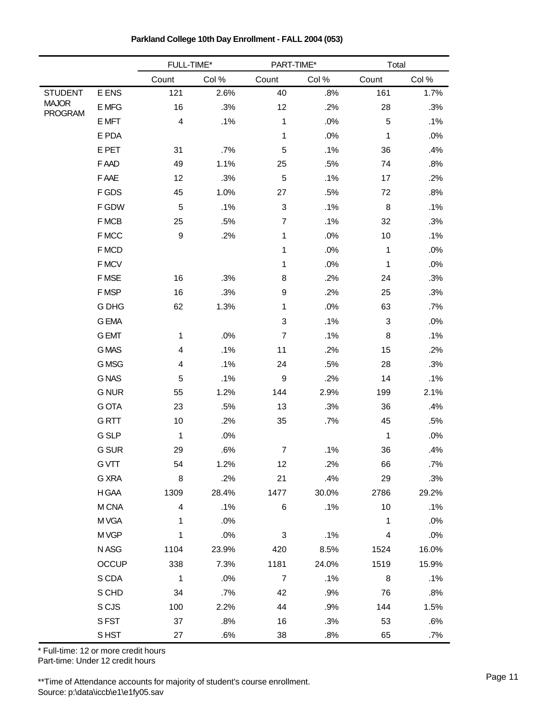|                                |              | FULL-TIME*              |        | PART-TIME*                |       | Total          |       |
|--------------------------------|--------------|-------------------------|--------|---------------------------|-------|----------------|-------|
|                                |              | Count                   | Col %  | Count                     | Col%  | Count          | Col%  |
| <b>STUDENT</b>                 | E ENS        | 121                     | 2.6%   | 40                        | .8%   | 161            | 1.7%  |
| <b>MAJOR</b><br><b>PROGRAM</b> | E MFG        | 16                      | .3%    | 12                        | .2%   | 28             | .3%   |
|                                | E MFT        | $\overline{\mathbf{4}}$ | .1%    | 1                         | .0%   | 5              | .1%   |
|                                | E PDA        |                         |        | 1                         | .0%   | 1              | .0%   |
|                                | E PET        | 31                      | .7%    | 5                         | .1%   | 36             | .4%   |
|                                | F AAD        | 49                      | 1.1%   | 25                        | .5%   | 74             | .8%   |
|                                | F AAE        | 12                      | .3%    | $\mathbf 5$               | .1%   | 17             | .2%   |
|                                | F GDS        | 45                      | 1.0%   | 27                        | .5%   | 72             | .8%   |
|                                | F GDW        | 5                       | .1%    | $\ensuremath{\mathsf{3}}$ | .1%   | 8              | .1%   |
|                                | F MCB        | 25                      | .5%    | $\overline{7}$            | .1%   | 32             | .3%   |
|                                | F MCC        | 9                       | .2%    | 1                         | .0%   | 10             | .1%   |
|                                | F MCD        |                         |        | 1                         | .0%   | 1              | .0%   |
|                                | F MCV        |                         |        | 1                         | .0%   | $\mathbf 1$    | .0%   |
|                                | F MSE        | 16                      | .3%    | 8                         | .2%   | 24             | .3%   |
|                                | F MSP        | 16                      | .3%    | 9                         | .2%   | 25             | .3%   |
|                                | G DHG        | 62                      | 1.3%   | 1                         | .0%   | 63             | .7%   |
|                                | <b>G EMA</b> |                         |        | 3                         | .1%   | $\mathfrak{B}$ | .0%   |
|                                | <b>G EMT</b> | 1                       | .0%    | $\overline{7}$            | .1%   | 8              | .1%   |
|                                | <b>GMAS</b>  | 4                       | .1%    | 11                        | .2%   | 15             | .2%   |
|                                | G MSG        | 4                       | .1%    | 24                        | .5%   | 28             | .3%   |
|                                | <b>GNAS</b>  | 5                       | .1%    | $\boldsymbol{9}$          | .2%   | 14             | .1%   |
|                                | <b>G NUR</b> | 55                      | 1.2%   | 144                       | 2.9%  | 199            | 2.1%  |
|                                | <b>GOTA</b>  | 23                      | .5%    | 13                        | .3%   | 36             | .4%   |
|                                | <b>GRTT</b>  | 10                      | .2%    | 35                        | .7%   | 45             | .5%   |
|                                | <b>G SLP</b> | 1                       | .0%    |                           |       | 1              | .0%   |
|                                | G SUR        | 29                      | .6%    | $\boldsymbol{7}$          | .1%   | 36             | .4%   |
|                                | <b>GVTT</b>  | 54                      | 1.2%   | 12                        | .2%   | 66             | .7%   |
|                                | G XRA        | 8                       | .2%    | 21                        | .4%   | 29             | .3%   |
|                                | H GAA        | 1309                    | 28.4%  | 1477                      | 30.0% | 2786           | 29.2% |
|                                | M CNA        | $\overline{4}$          | .1%    | 6                         | .1%   | 10             | .1%   |
|                                | M VGA        | 1                       | .0%    |                           |       | $\mathbf{1}$   | .0%   |
|                                | M VGP        | 1                       | $.0\%$ | $\ensuremath{\mathsf{3}}$ | .1%   | $\overline{4}$ | .0%   |
|                                | N ASG        | 1104                    | 23.9%  | 420                       | 8.5%  | 1524           | 16.0% |
|                                | <b>OCCUP</b> | 338                     | 7.3%   | 1181                      | 24.0% | 1519           | 15.9% |
|                                | S CDA        | $\mathbf{1}$            | .0%    | $\overline{7}$            | .1%   | 8              | .1%   |
|                                | S CHD        | 34                      | .7%    | 42                        | .9%   | 76             | .8%   |
|                                | S CJS        | 100                     | 2.2%   | 44                        | .9%   | 144            | 1.5%  |
|                                | S FST        | 37                      | .8%    | 16                        | .3%   | 53             | .6%   |
|                                | S HST        | 27                      | .6%    | 38                        | .8%   | 65             | .7%   |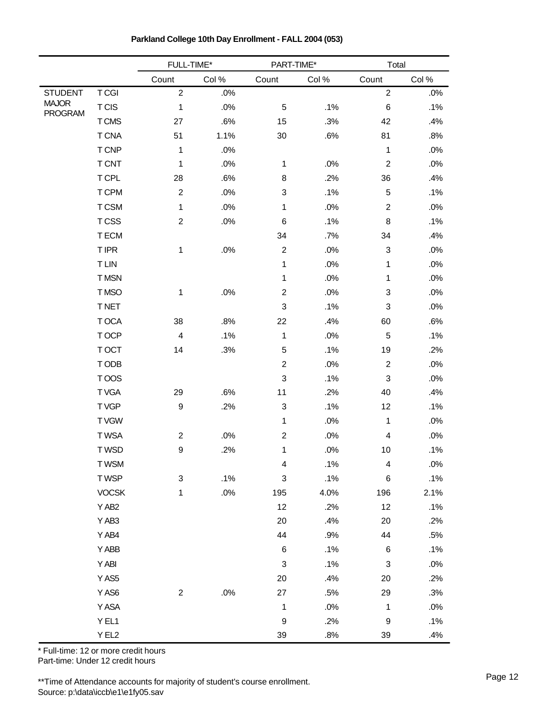|                                |                  | FULL-TIME*              |        | PART-TIME*                |        | Total                     |        |
|--------------------------------|------------------|-------------------------|--------|---------------------------|--------|---------------------------|--------|
|                                |                  | Count                   | Col %  | Count                     | Col %  | Count                     | Col%   |
| <b>STUDENT</b>                 | <b>TCGI</b>      | $\overline{c}$          | .0%    |                           |        | $\overline{2}$            | .0%    |
| <b>MAJOR</b><br><b>PROGRAM</b> | <b>TCIS</b>      | 1                       | .0%    | $\mathbf 5$               | .1%    | 6                         | .1%    |
|                                | T CMS            | 27                      | .6%    | 15                        | .3%    | 42                        | .4%    |
|                                | <b>T CNA</b>     | 51                      | 1.1%   | 30                        | .6%    | 81                        | .8%    |
|                                | T CNP            | 1                       | .0%    |                           |        | 1                         | .0%    |
|                                | <b>T CNT</b>     | 1                       | .0%    | 1                         | .0%    | $\boldsymbol{2}$          | .0%    |
|                                | T CPL            | 28                      | .6%    | 8                         | .2%    | 36                        | .4%    |
|                                | <b>T CPM</b>     | $\overline{c}$          | .0%    | 3                         | .1%    | 5                         | .1%    |
|                                | T CSM            | 1                       | $.0\%$ | 1                         | .0%    | $\overline{2}$            | .0%    |
|                                | <b>TCSS</b>      | $\overline{c}$          | .0%    | 6                         | .1%    | 8                         | .1%    |
|                                | T ECM            |                         |        | 34                        | .7%    | 34                        | .4%    |
|                                | <b>TIPR</b>      | 1                       | .0%    | $\overline{c}$            | .0%    | $\ensuremath{\mathsf{3}}$ | .0%    |
|                                | <b>TLIN</b>      |                         |        | 1                         | .0%    | 1                         | .0%    |
|                                | T MSN            |                         |        | 1                         | .0%    | $\mathbf{1}$              | .0%    |
|                                | T MSO            | 1                       | $.0\%$ | $\overline{c}$            | .0%    | $\ensuremath{\mathsf{3}}$ | .0%    |
|                                | <b>TNET</b>      |                         |        | 3                         | .1%    | $\ensuremath{\mathsf{3}}$ | .0%    |
|                                | T OCA            | 38                      | .8%    | 22                        | .4%    | 60                        | .6%    |
|                                | T OCP            | $\overline{\mathbf{4}}$ | .1%    | 1                         | .0%    | $\mathbf 5$               | .1%    |
|                                | T OCT            | 14                      | .3%    | 5                         | .1%    | 19                        | .2%    |
|                                | T ODB            |                         |        | $\overline{c}$            | .0%    | $\boldsymbol{2}$          | .0%    |
|                                | TOOS             |                         |        | $\ensuremath{\mathsf{3}}$ | .1%    | $\ensuremath{\mathsf{3}}$ | .0%    |
|                                | T VGA            | 29                      | .6%    | 11                        | .2%    | 40                        | .4%    |
|                                | T VGP            | 9                       | .2%    | 3                         | .1%    | 12                        | .1%    |
|                                | <b>TVGW</b>      |                         |        | 1                         | .0%    | 1                         | .0%    |
|                                | <b>TWSA</b>      | $\overline{\mathbf{c}}$ | $.0\%$ | $\overline{c}$            | .0%    | $\overline{\mathbf{4}}$   | .0%    |
|                                | T WSD            | 9                       | .2%    | 1                         | .0%    | 10                        | .1%    |
|                                | <b>TWSM</b>      |                         |        | 4                         | .1%    | 4                         | $.0\%$ |
|                                | T WSP            | 3                       | .1%    | $\ensuremath{\mathsf{3}}$ | .1%    | 6                         | .1%    |
|                                | <b>VOCSK</b>     | 1                       | $.0\%$ | 195                       | 4.0%   | 196                       | 2.1%   |
|                                | Y AB2            |                         |        | 12                        | .2%    | 12                        | .1%    |
|                                | Y AB3            |                         |        | 20                        | .4%    | 20                        | .2%    |
|                                | Y AB4            |                         |        | 44                        | .9%    | 44                        | .5%    |
|                                | Y ABB            |                         |        | 6                         | .1%    | 6                         | .1%    |
|                                | Y ABI            |                         |        | $\ensuremath{\mathsf{3}}$ | .1%    | $\ensuremath{\mathsf{3}}$ | .0%    |
|                                | YAS <sub>5</sub> |                         |        | 20                        | .4%    | 20                        | .2%    |
|                                | YAS6             | $\overline{c}$          | $.0\%$ | 27                        | .5%    | 29                        | .3%    |
|                                | Y ASA            |                         |        | 1                         | .0%    | 1                         | .0%    |
|                                | YEL1             |                         |        | $\boldsymbol{9}$          | .2%    | $\boldsymbol{9}$          | .1%    |
|                                | YEL2             |                         |        | $39\,$                    | $.8\%$ | 39                        | .4%    |

**Parkland College 10th Day Enrollment - FALL 2004 (053)**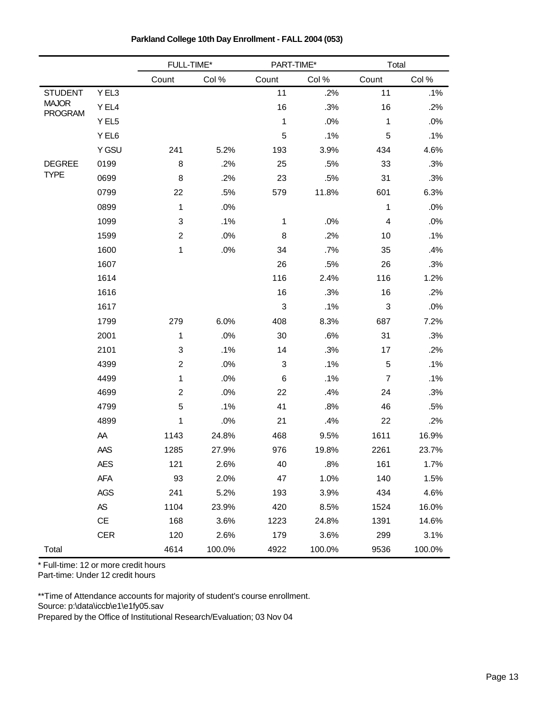|                                |            | FULL-TIME*              |        | PART-TIME* |        | Total                     |        |
|--------------------------------|------------|-------------------------|--------|------------|--------|---------------------------|--------|
|                                |            | Count                   | Col %  | Count      | Col %  | Count                     | Col %  |
| <b>STUDENT</b>                 | Y EL3      |                         |        | 11         | .2%    | 11                        | .1%    |
| <b>MAJOR</b><br><b>PROGRAM</b> | Y EL4      |                         |        | 16         | .3%    | 16                        | .2%    |
|                                | Y EL5      |                         |        | 1          | .0%    | 1                         | .0%    |
|                                | Y EL6      |                         |        | 5          | .1%    | 5                         | .1%    |
|                                | Y GSU      | 241                     | 5.2%   | 193        | 3.9%   | 434                       | 4.6%   |
| <b>DEGREE</b>                  | 0199       | 8                       | .2%    | 25         | .5%    | 33                        | .3%    |
| <b>TYPE</b>                    | 0699       | 8                       | .2%    | 23         | .5%    | 31                        | .3%    |
|                                | 0799       | 22                      | .5%    | 579        | 11.8%  | 601                       | 6.3%   |
|                                | 0899       | $\mathbf{1}$            | .0%    |            |        | $\mathbf{1}$              | .0%    |
|                                | 1099       | 3                       | .1%    | 1          | .0%    | 4                         | .0%    |
|                                | 1599       | $\overline{2}$          | .0%    | 8          | .2%    | 10                        | .1%    |
|                                | 1600       | 1                       | .0%    | 34         | .7%    | 35                        | .4%    |
|                                | 1607       |                         |        | 26         | .5%    | 26                        | .3%    |
|                                | 1614       |                         |        | 116        | 2.4%   | 116                       | 1.2%   |
|                                | 1616       |                         |        | 16         | .3%    | 16                        | .2%    |
|                                | 1617       |                         |        | 3          | .1%    | $\ensuremath{\mathsf{3}}$ | .0%    |
|                                | 1799       | 279                     | 6.0%   | 408        | 8.3%   | 687                       | 7.2%   |
|                                | 2001       | 1                       | .0%    | 30         | .6%    | 31                        | .3%    |
|                                | 2101       | 3                       | .1%    | 14         | .3%    | 17                        | .2%    |
|                                | 4399       | $\overline{\mathbf{c}}$ | .0%    | 3          | .1%    | $\mathbf 5$               | .1%    |
|                                | 4499       | 1                       | .0%    | $\,6$      | .1%    | $\boldsymbol{7}$          | .1%    |
|                                | 4699       | $\overline{\mathbf{c}}$ | .0%    | 22         | .4%    | 24                        | .3%    |
|                                | 4799       | 5                       | .1%    | 41         | .8%    | 46                        | .5%    |
|                                | 4899       | 1                       | .0%    | 21         | .4%    | 22                        | .2%    |
|                                | AA         | 1143                    | 24.8%  | 468        | 9.5%   | 1611                      | 16.9%  |
|                                | AAS        | 1285                    | 27.9%  | 976        | 19.8%  | 2261                      | 23.7%  |
|                                | AES        | 121                     | 2.6%   | 40         | .8%    | 161                       | 1.7%   |
|                                | AFA        | 93                      | 2.0%   | 47         | 1.0%   | 140                       | 1.5%   |
|                                | AGS        | 241                     | 5.2%   | 193        | 3.9%   | 434                       | 4.6%   |
|                                | $AS$       | 1104                    | 23.9%  | 420        | 8.5%   | 1524                      | 16.0%  |
|                                | CE         | 168                     | 3.6%   | 1223       | 24.8%  | 1391                      | 14.6%  |
|                                | <b>CER</b> | 120                     | 2.6%   | 179        | 3.6%   | 299                       | 3.1%   |
| Total                          |            | 4614                    | 100.0% | 4922       | 100.0% | 9536                      | 100.0% |

**Parkland College 10th Day Enrollment - FALL 2004 (053)**

\* Full-time: 12 or more credit hours Part-time: Under 12 credit hours

\*\*Time of Attendance accounts for majority of student's course enrollment. Source: p:\data\iccb\e1\e1fy05.sav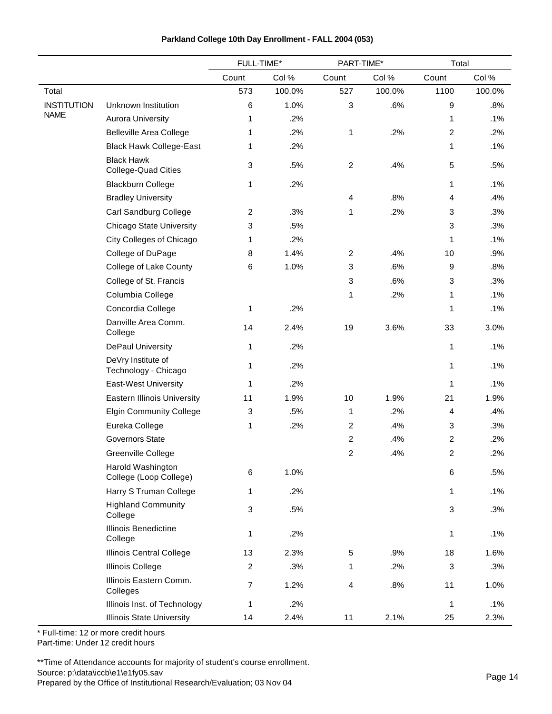| Parkland College 10th Day Enrollment - FALL 2004 (053) |  |  |
|--------------------------------------------------------|--|--|
|--------------------------------------------------------|--|--|

|                    |                                                 | FULL-TIME*     |        | PART-TIME*              |        | Total |        |
|--------------------|-------------------------------------------------|----------------|--------|-------------------------|--------|-------|--------|
|                    |                                                 | Count          | Col %  | Count                   | Col %  | Count | Col%   |
| Total              |                                                 | 573            | 100.0% | 527                     | 100.0% | 1100  | 100.0% |
| <b>INSTITUTION</b> | Unknown Institution                             | 6              | 1.0%   | $\mathbf{3}$            | .6%    | 9     | .8%    |
| <b>NAME</b>        | <b>Aurora University</b>                        | 1              | .2%    |                         |        | 1     | .1%    |
|                    | <b>Belleville Area College</b>                  | 1              | .2%    | 1                       | .2%    | 2     | .2%    |
|                    | <b>Black Hawk College-East</b>                  | 1              | .2%    |                         |        | 1     | .1%    |
|                    | <b>Black Hawk</b><br><b>College-Quad Cities</b> | 3              | .5%    | $\sqrt{2}$              | .4%    | 5     | .5%    |
|                    | <b>Blackburn College</b>                        | 1              | .2%    |                         |        | 1     | .1%    |
|                    | <b>Bradley University</b>                       |                |        | $\overline{\mathbf{4}}$ | .8%    | 4     | .4%    |
|                    | Carl Sandburg College                           | $\overline{2}$ | .3%    | 1                       | .2%    | 3     | .3%    |
|                    | <b>Chicago State University</b>                 | 3              | .5%    |                         |        | 3     | .3%    |
|                    | City Colleges of Chicago                        | 1              | .2%    |                         |        | 1     | .1%    |
|                    | College of DuPage                               | 8              | 1.4%   | $\sqrt{2}$              | .4%    | 10    | .9%    |
|                    | College of Lake County                          | 6              | 1.0%   | $\mathbf{3}$            | .6%    | 9     | .8%    |
|                    | College of St. Francis                          |                |        | 3                       | .6%    | 3     | .3%    |
|                    | Columbia College                                |                |        | 1                       | .2%    | 1     | .1%    |
|                    | Concordia College                               | 1              | .2%    |                         |        | 1     | .1%    |
|                    | Danville Area Comm.<br>College                  | 14             | 2.4%   | 19                      | 3.6%   | 33    | 3.0%   |
|                    | <b>DePaul University</b>                        | 1              | .2%    |                         |        | 1     | .1%    |
|                    | DeVry Institute of<br>Technology - Chicago      | 1              | .2%    |                         |        | 1     | .1%    |
|                    | East-West University                            | 1              | .2%    |                         |        | 1     | .1%    |
|                    | <b>Eastern Illinois University</b>              | 11             | 1.9%   | 10                      | 1.9%   | 21    | 1.9%   |
|                    | <b>Elgin Community College</b>                  | 3              | .5%    | 1                       | .2%    | 4     | .4%    |
|                    | Eureka College                                  | 1              | .2%    | $\boldsymbol{2}$        | .4%    | 3     | .3%    |
|                    | <b>Governors State</b>                          |                |        | 2                       | .4%    | 2     | .2%    |
|                    | Greenville College                              |                |        | 2                       | .4%    | 2     | .2%    |
|                    | Harold Washington<br>College (Loop College)     | 6              | 1.0%   |                         |        | 6     | .5%    |
|                    | Harry S Truman College                          | 1              | .2%    |                         |        | 1     | .1%    |
|                    | <b>Highland Community</b><br>College            | 3              | .5%    |                         |        | 3     | .3%    |
|                    | <b>Illinois Benedictine</b><br>College          | 1              | .2%    |                         |        | 1     | .1%    |
|                    | Illinois Central College                        | 13             | 2.3%   | 5                       | .9%    | 18    | 1.6%   |
|                    | <b>Illinois College</b>                         | $\overline{2}$ | .3%    | 1                       | .2%    | 3     | .3%    |
|                    | Illinois Eastern Comm.<br>Colleges              | $\overline{7}$ | 1.2%   | 4                       | .8%    | 11    | 1.0%   |
|                    | Illinois Inst. of Technology                    | 1              | .2%    |                         |        | 1     | .1%    |
|                    | <b>Illinois State University</b>                | 14             | 2.4%   | 11                      | 2.1%   | 25    | 2.3%   |

Part-time: Under 12 credit hours

\*\*Time of Attendance accounts for majority of student's course enrollment. Source: p:\data\iccb\e1\e1fy05.sav

Source: p:\data\iccb\e1\e1fy05.sav<br>Prepared by the Office of Institutional Research/Evaluation; 03 Nov 04 Prepared by the Office of Institutional Research/Evaluation; 03 Nov 04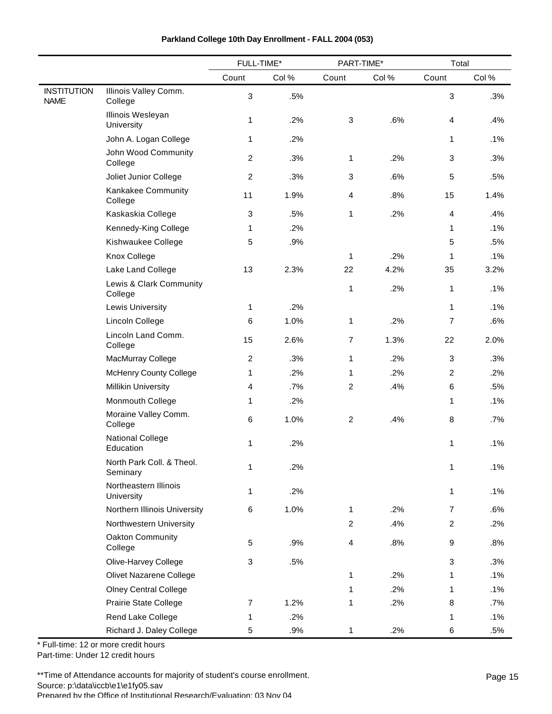|                                   |                                       | FULL-TIME*     |       | PART-TIME*     |       | Total          |        |
|-----------------------------------|---------------------------------------|----------------|-------|----------------|-------|----------------|--------|
|                                   |                                       | Count          | Col % | Count          | Col % | Count          | Col %  |
| <b>INSTITUTION</b><br><b>NAME</b> | Illinois Valley Comm.<br>College      | $\mathfrak{S}$ | .5%   |                |       | $\mathbf{3}$   | .3%    |
|                                   | Illinois Wesleyan<br>University       | 1              | .2%   | 3              | .6%   | 4              | .4%    |
|                                   | John A. Logan College                 | 1              | .2%   |                |       | $\mathbf{1}$   | .1%    |
|                                   | John Wood Community<br>College        | $\overline{c}$ | .3%   | 1              | .2%   | 3              | .3%    |
|                                   | Joliet Junior College                 | $\sqrt{2}$     | .3%   | $\mathbf{3}$   | .6%   | $\,$ 5 $\,$    | .5%    |
|                                   | Kankakee Community<br>College         | 11             | 1.9%  | $\overline{4}$ | .8%   | 15             | 1.4%   |
|                                   | Kaskaskia College                     | 3              | .5%   | 1              | .2%   | 4              | .4%    |
|                                   | Kennedy-King College                  | 1              | .2%   |                |       | 1              | .1%    |
|                                   | Kishwaukee College                    | 5              | .9%   |                |       | 5              | .5%    |
|                                   | Knox College                          |                |       | 1              | .2%   | 1              | .1%    |
|                                   | Lake Land College                     | 13             | 2.3%  | 22             | 4.2%  | 35             | 3.2%   |
|                                   | Lewis & Clark Community<br>College    |                |       | 1              | .2%   | 1              | .1%    |
|                                   | <b>Lewis University</b>               | 1              | .2%   |                |       | 1              | .1%    |
|                                   | Lincoln College                       | 6              | 1.0%  | 1              | .2%   | 7              | .6%    |
|                                   | Lincoln Land Comm.<br>College         | 15             | 2.6%  | $\overline{7}$ | 1.3%  | 22             | 2.0%   |
|                                   | MacMurray College                     | $\overline{2}$ | .3%   | 1              | .2%   | 3              | .3%    |
|                                   | <b>McHenry County College</b>         | 1              | .2%   | 1              | .2%   | $\overline{2}$ | .2%    |
|                                   | <b>Millikin University</b>            | $\overline{4}$ | .7%   | $\overline{2}$ | .4%   | 6              | .5%    |
|                                   | Monmouth College                      | 1              | .2%   |                |       | 1              | .1%    |
|                                   | Moraine Valley Comm.<br>College       | 6              | 1.0%  | $\overline{c}$ | .4%   | 8              | .7%    |
|                                   | <b>National College</b><br>Education  | 1              | .2%   |                |       | 1              | $.1\%$ |
|                                   | North Park Coll. & Theol.<br>Seminary | 1              | .2%   |                |       | 1              | .1%    |
|                                   | Northeastern Illinois<br>University   | 1              | .2%   |                |       | 1              | .1%    |
|                                   | Northern Illinois University          | 6              | 1.0%  | 1              | .2%   | $\overline{7}$ | .6%    |
|                                   | Northwestern University               |                |       | $\overline{2}$ | .4%   | $\overline{2}$ | .2%    |
|                                   | Oakton Community<br>College           | 5              | .9%   | 4              | .8%   | 9              | .8%    |
|                                   | Olive-Harvey College                  | 3              | .5%   |                |       | $\mathbf{3}$   | .3%    |
|                                   | Olivet Nazarene College               |                |       | 1              | .2%   | 1              | .1%    |
|                                   | <b>Olney Central College</b>          |                |       | 1              | .2%   | $\mathbf{1}$   | .1%    |
|                                   | Prairie State College                 | 7              | 1.2%  | 1              | .2%   | 8              | $.7\%$ |
|                                   | Rend Lake College                     | 1              | .2%   |                |       | 1              | .1%    |
|                                   | Richard J. Daley College              | 5              | .9%   | 1              | .2%   | 6              | .5%    |

\* Full-time: 12 or more credit hours Part-time: Under 12 credit hours

\*\*Time of Attendance accounts for majority of student's course enrollment. Source: p:\data\iccb\e1\e1fy05.sav Prepared by the Office of Institutional Research/Evaluation; 03 Nov 04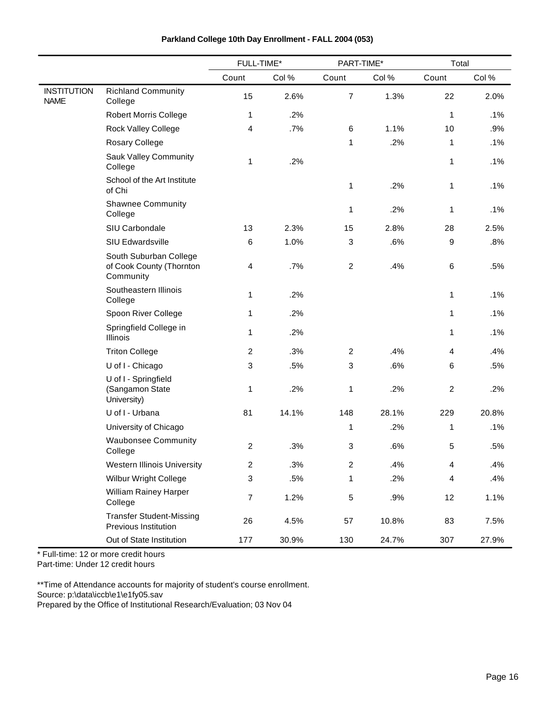|                                   |                                                                 | FULL-TIME*       |       | PART-TIME*     |       | Total                   |        |
|-----------------------------------|-----------------------------------------------------------------|------------------|-------|----------------|-------|-------------------------|--------|
|                                   |                                                                 | Count            | Col%  | Count          | Col % | Count                   | Col %  |
| <b>INSTITUTION</b><br><b>NAME</b> | <b>Richland Community</b><br>College                            | 15               | 2.6%  | $\overline{7}$ | 1.3%  | 22                      | 2.0%   |
|                                   | <b>Robert Morris College</b>                                    | 1                | .2%   |                |       | 1                       | .1%    |
|                                   | Rock Valley College                                             | 4                | .7%   | 6              | 1.1%  | 10                      | .9%    |
|                                   | Rosary College                                                  |                  |       | 1              | .2%   | 1                       | .1%    |
|                                   | Sauk Valley Community<br>College                                | 1                | .2%   |                |       | 1                       | .1%    |
|                                   | School of the Art Institute<br>of Chi                           |                  |       | 1              | .2%   | 1                       | .1%    |
|                                   | <b>Shawnee Community</b><br>College                             |                  |       | 1              | .2%   | 1                       | .1%    |
|                                   | SIU Carbondale                                                  | 13               | 2.3%  | 15             | 2.8%  | 28                      | 2.5%   |
|                                   | SIU Edwardsville                                                | 6                | 1.0%  | 3              | .6%   | 9                       | .8%    |
|                                   | South Suburban College<br>of Cook County (Thornton<br>Community | 4                | .7%   | $\overline{2}$ | .4%   | 6                       | .5%    |
|                                   | Southeastern Illinois<br>College                                | 1                | .2%   |                |       | 1                       | $.1\%$ |
|                                   | Spoon River College                                             | 1                | .2%   |                |       | 1                       | .1%    |
|                                   | Springfield College in<br>Illinois                              | 1                | .2%   |                |       | 1                       | .1%    |
|                                   | <b>Triton College</b>                                           | $\overline{c}$   | .3%   | $\overline{2}$ | .4%   | 4                       | .4%    |
|                                   | U of I - Chicago                                                | 3                | .5%   | 3              | .6%   | 6                       | .5%    |
|                                   | U of I - Springfield<br>(Sangamon State<br>University)          | 1                | .2%   | 1              | .2%   | $\overline{c}$          | .2%    |
|                                   | U of I - Urbana                                                 | 81               | 14.1% | 148            | 28.1% | 229                     | 20.8%  |
|                                   | University of Chicago                                           |                  |       | 1              | .2%   | 1                       | .1%    |
|                                   | <b>Waubonsee Community</b><br>College                           | $\overline{c}$   | .3%   | 3              | .6%   | 5                       | .5%    |
|                                   | <b>Western Illinois University</b>                              | 2                | .3%   | $\overline{c}$ | .4%   | $\overline{\mathbf{4}}$ | .4%    |
|                                   | Wilbur Wright College                                           | 3                | .5%   | 1              | .2%   | $\overline{\mathbf{4}}$ | .4%    |
|                                   | William Rainey Harper<br>College                                | $\boldsymbol{7}$ | 1.2%  | $\mathbf 5$    | .9%   | 12                      | 1.1%   |
|                                   | <b>Transfer Student-Missing</b><br>Previous Institution         | 26               | 4.5%  | 57             | 10.8% | 83                      | 7.5%   |
|                                   | Out of State Institution                                        | 177              | 30.9% | 130            | 24.7% | 307                     | 27.9%  |

\* Full-time: 12 or more credit hours

Part-time: Under 12 credit hours

 $\overline{a}$ 

\*\*Time of Attendance accounts for majority of student's course enrollment.

Source: p:\data\iccb\e1\e1fy05.sav